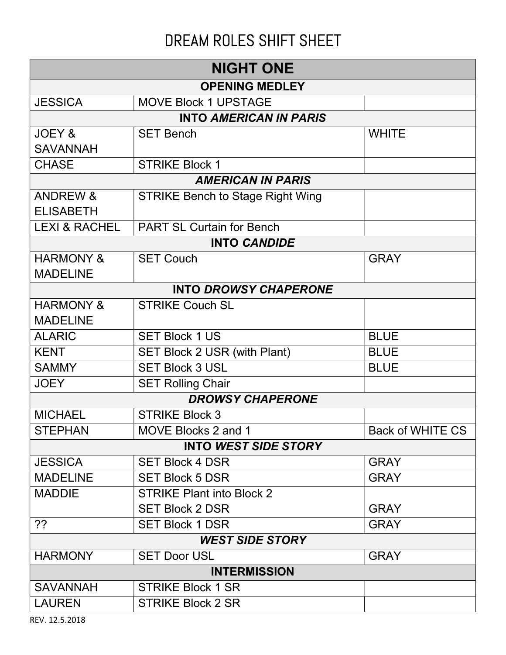## DREAM ROLES SHIFT SHEET

| <b>NIGHT ONE</b>            |                                         |                         |  |  |
|-----------------------------|-----------------------------------------|-------------------------|--|--|
| <b>OPENING MEDLEY</b>       |                                         |                         |  |  |
| <b>JESSICA</b>              | <b>MOVE Block 1 UPSTAGE</b>             |                         |  |  |
|                             | <b>INTO AMERICAN IN PARIS</b>           |                         |  |  |
| <b>JOEY &amp;</b>           | <b>SET Bench</b>                        | <b>WHITE</b>            |  |  |
| <b>SAVANNAH</b>             |                                         |                         |  |  |
| <b>CHASE</b>                | <b>STRIKE Block 1</b>                   |                         |  |  |
|                             | <b>AMERICAN IN PARIS</b>                |                         |  |  |
| <b>ANDREW &amp;</b>         | <b>STRIKE Bench to Stage Right Wing</b> |                         |  |  |
| <b>ELISABETH</b>            |                                         |                         |  |  |
| <b>LEXI &amp; RACHEL</b>    | <b>PART SL Curtain for Bench</b>        |                         |  |  |
|                             | <b>INTO CANDIDE</b>                     |                         |  |  |
| <b>HARMONY &amp;</b>        | <b>SET Couch</b>                        | <b>GRAY</b>             |  |  |
| <b>MADELINE</b>             |                                         |                         |  |  |
|                             | <b>INTO DROWSY CHAPERONE</b>            |                         |  |  |
| <b>HARMONY &amp;</b>        | <b>STRIKE Couch SL</b>                  |                         |  |  |
| <b>MADELINE</b>             |                                         |                         |  |  |
| <b>ALARIC</b>               | <b>SET Block 1 US</b>                   | <b>BLUE</b>             |  |  |
| <b>KENT</b>                 | SET Block 2 USR (with Plant)            | <b>BLUE</b>             |  |  |
| <b>SAMMY</b>                | <b>SET Block 3 USL</b>                  | <b>BLUE</b>             |  |  |
| <b>JOEY</b>                 | <b>SET Rolling Chair</b>                |                         |  |  |
|                             | <b>DROWSY CHAPERONE</b>                 |                         |  |  |
| <b>MICHAEL</b>              | <b>STRIKE Block 3</b>                   |                         |  |  |
| <b>STEPHAN</b>              | MOVE Blocks 2 and 1                     | <b>Back of WHITE CS</b> |  |  |
| <b>INTO WEST SIDE STORY</b> |                                         |                         |  |  |
| <b>JESSICA</b>              | <b>SET Block 4 DSR</b>                  | <b>GRAY</b>             |  |  |
| <b>MADELINE</b>             | <b>SET Block 5 DSR</b>                  | <b>GRAY</b>             |  |  |
| <b>MADDIE</b>               | <b>STRIKE Plant into Block 2</b>        |                         |  |  |
|                             | <b>SET Block 2 DSR</b>                  | <b>GRAY</b>             |  |  |
| ??                          | <b>SET Block 1 DSR</b>                  | <b>GRAY</b>             |  |  |
| <b>WEST SIDE STORY</b>      |                                         |                         |  |  |
| <b>HARMONY</b>              | <b>SET Door USL</b>                     | <b>GRAY</b>             |  |  |
| <b>INTERMISSION</b>         |                                         |                         |  |  |
| <b>SAVANNAH</b>             | <b>STRIKE Block 1 SR</b>                |                         |  |  |
| <b>LAUREN</b>               | <b>STRIKE Block 2 SR</b>                |                         |  |  |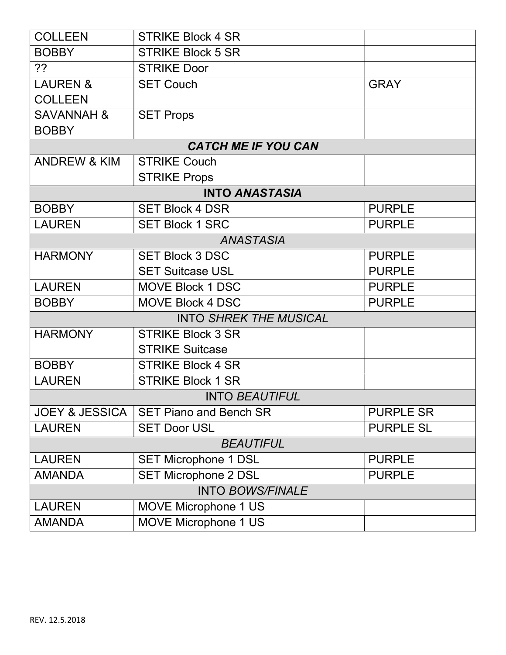| <b>COLLEEN</b>            | <b>STRIKE Block 4 SR</b>      |                  |  |  |
|---------------------------|-------------------------------|------------------|--|--|
| <b>BOBBY</b>              | <b>STRIKE Block 5 SR</b>      |                  |  |  |
| ??                        | <b>STRIKE Door</b>            |                  |  |  |
| <b>LAUREN &amp;</b>       | <b>SET Couch</b>              | <b>GRAY</b>      |  |  |
| <b>COLLEEN</b>            |                               |                  |  |  |
| <b>SAVANNAH &amp;</b>     | <b>SET Props</b>              |                  |  |  |
| <b>BOBBY</b>              |                               |                  |  |  |
|                           | <b>CATCH ME IF YOU CAN</b>    |                  |  |  |
| <b>ANDREW &amp; KIM</b>   | <b>STRIKE Couch</b>           |                  |  |  |
|                           | <b>STRIKE Props</b>           |                  |  |  |
|                           | <b>INTO ANASTASIA</b>         |                  |  |  |
| <b>BOBBY</b>              | <b>SET Block 4 DSR</b>        | <b>PURPLE</b>    |  |  |
| <b>LAUREN</b>             | <b>SET Block 1 SRC</b>        | <b>PURPLE</b>    |  |  |
|                           | <b>ANASTASIA</b>              |                  |  |  |
| <b>HARMONY</b>            | <b>SET Block 3 DSC</b>        | <b>PURPLE</b>    |  |  |
|                           | <b>SET Suitcase USL</b>       | <b>PURPLE</b>    |  |  |
| <b>LAUREN</b>             | <b>MOVE Block 1 DSC</b>       | <b>PURPLE</b>    |  |  |
| <b>BOBBY</b>              | MOVE Block 4 DSC              | <b>PURPLE</b>    |  |  |
|                           | <b>INTO SHREK THE MUSICAL</b> |                  |  |  |
| <b>HARMONY</b>            | <b>STRIKE Block 3 SR</b>      |                  |  |  |
|                           | <b>STRIKE Suitcase</b>        |                  |  |  |
| <b>BOBBY</b>              | <b>STRIKE Block 4 SR</b>      |                  |  |  |
| <b>LAUREN</b>             | <b>STRIKE Block 1 SR</b>      |                  |  |  |
| <b>INTO BEAUTIFUL</b>     |                               |                  |  |  |
| <b>JOEY &amp; JESSICA</b> | <b>SET Piano and Bench SR</b> | <b>PURPLE SR</b> |  |  |
| <b>LAUREN</b>             | <b>SET Door USL</b>           | <b>PURPLE SL</b> |  |  |
| <b>BEAUTIFUL</b>          |                               |                  |  |  |
| <b>LAUREN</b>             | <b>SET Microphone 1 DSL</b>   | <b>PURPLE</b>    |  |  |
| <b>AMANDA</b>             | <b>SET Microphone 2 DSL</b>   | <b>PURPLE</b>    |  |  |
| <b>INTO BOWS/FINALE</b>   |                               |                  |  |  |
| <b>LAUREN</b>             | <b>MOVE Microphone 1 US</b>   |                  |  |  |
| <b>AMANDA</b>             | <b>MOVE Microphone 1 US</b>   |                  |  |  |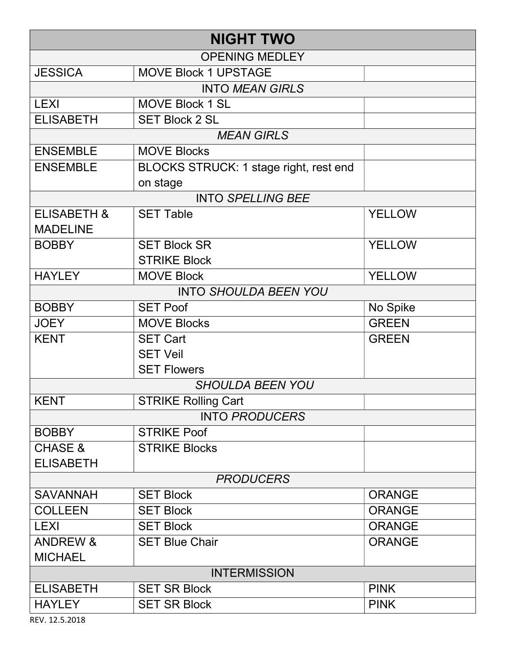| <b>NIGHT TWO</b>       |                                        |               |  |  |
|------------------------|----------------------------------------|---------------|--|--|
| <b>OPENING MEDLEY</b>  |                                        |               |  |  |
| <b>JESSICA</b>         | <b>MOVE Block 1 UPSTAGE</b>            |               |  |  |
|                        | <b>INTO MEAN GIRLS</b>                 |               |  |  |
| <b>LEXI</b>            | <b>MOVE Block 1 SL</b>                 |               |  |  |
| <b>ELISABETH</b>       | <b>SET Block 2 SL</b>                  |               |  |  |
|                        | <b>MEAN GIRLS</b>                      |               |  |  |
| <b>ENSEMBLE</b>        | <b>MOVE Blocks</b>                     |               |  |  |
| <b>ENSEMBLE</b>        | BLOCKS STRUCK: 1 stage right, rest end |               |  |  |
|                        | on stage                               |               |  |  |
|                        | <b>INTO SPELLING BEE</b>               |               |  |  |
| <b>ELISABETH &amp;</b> | <b>SET Table</b>                       | <b>YELLOW</b> |  |  |
| <b>MADELINE</b>        |                                        |               |  |  |
| <b>BOBBY</b>           | <b>SET Block SR</b>                    | <b>YELLOW</b> |  |  |
|                        | <b>STRIKE Block</b>                    |               |  |  |
| <b>HAYLEY</b>          | <b>MOVE Block</b>                      | <b>YELLOW</b> |  |  |
|                        | <b>INTO SHOULDA BEEN YOU</b>           |               |  |  |
| <b>BOBBY</b>           | <b>SET Poof</b>                        | No Spike      |  |  |
| <b>JOEY</b>            | <b>MOVE Blocks</b>                     | <b>GREEN</b>  |  |  |
| <b>KENT</b>            | <b>SET Cart</b>                        | <b>GREEN</b>  |  |  |
|                        | <b>SET Veil</b>                        |               |  |  |
|                        | <b>SET Flowers</b>                     |               |  |  |
|                        | <b>SHOULDA BEEN YOU</b>                |               |  |  |
| <b>KENT</b>            | <b>STRIKE Rolling Cart</b>             |               |  |  |
|                        | <b>INTO PRODUCERS</b>                  |               |  |  |
| <b>BOBBY</b>           | <b>STRIKE Poof</b>                     |               |  |  |
| <b>CHASE &amp;</b>     | <b>STRIKE Blocks</b>                   |               |  |  |
| <b>ELISABETH</b>       |                                        |               |  |  |
| <b>PRODUCERS</b>       |                                        |               |  |  |
| <b>SAVANNAH</b>        | <b>SET Block</b>                       | <b>ORANGE</b> |  |  |
| <b>COLLEEN</b>         | <b>SET Block</b>                       | <b>ORANGE</b> |  |  |
| <b>LEXI</b>            | <b>SET Block</b>                       | <b>ORANGE</b> |  |  |
| <b>ANDREW &amp;</b>    | <b>SET Blue Chair</b>                  | <b>ORANGE</b> |  |  |
| <b>MICHAEL</b>         |                                        |               |  |  |
| <b>INTERMISSION</b>    |                                        |               |  |  |
| <b>ELISABETH</b>       | <b>SET SR Block</b>                    | <b>PINK</b>   |  |  |
| <b>HAYLEY</b>          | <b>SET SR Block</b>                    | <b>PINK</b>   |  |  |